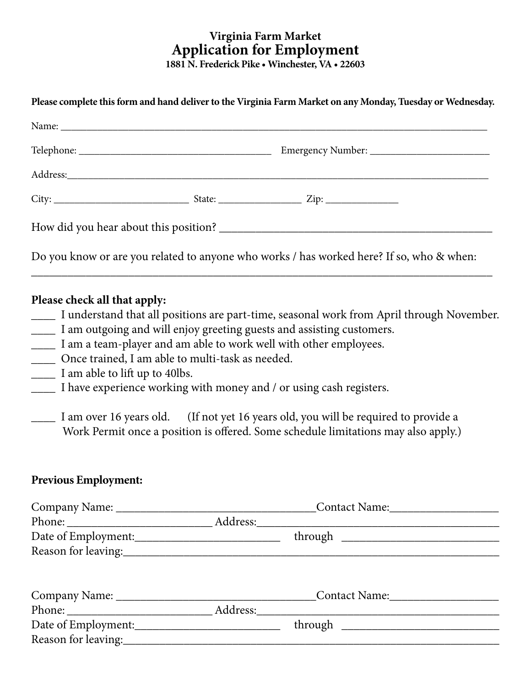## **Virginia Farm Market Application for Employment 1881 N. Frederick Pike • Winchester, VA • 22603**

**Please complete this form and hand deliver to the Virginia Farm Market on any Monday, Tuesday or Wednesday.**

| Address: No. 1998. The Commission of the Commission of the Commission of the Commission of the Commission of the Commission of the Commission of the Commission of the Commission of the Commission of the Commission of the C |  |                                                                                          |  |  |  |
|--------------------------------------------------------------------------------------------------------------------------------------------------------------------------------------------------------------------------------|--|------------------------------------------------------------------------------------------|--|--|--|
|                                                                                                                                                                                                                                |  |                                                                                          |  |  |  |
|                                                                                                                                                                                                                                |  |                                                                                          |  |  |  |
|                                                                                                                                                                                                                                |  | Do you know or are you related to anyone who works / has worked here? If so, who & when: |  |  |  |

## **Please check all that apply:**

\_\_\_\_ I understand that all positions are part-time, seasonal work from April through November.

\_\_\_\_\_\_\_\_\_\_\_\_\_\_\_\_\_\_\_\_\_\_\_\_\_\_\_\_\_\_\_\_\_\_\_\_\_\_\_\_\_\_\_\_\_\_\_\_\_\_\_\_\_\_\_\_\_\_\_\_\_\_\_\_\_\_\_\_\_\_\_\_\_\_\_\_

- \_\_\_\_ I am outgoing and will enjoy greeting guests and assisting customers.
- \_\_\_\_ I am a team-player and am able to work well with other employees.
- \_\_\_\_ Once trained, I am able to multi-task as needed.
- I am able to lift up to 40lbs.
- I have experience working with money and / or using cash registers.
- \_\_\_\_ I am over 16 years old. (If not yet 16 years old, you will be required to provide a Work Permit once a position is offered. Some schedule limitations may also apply.)

## **Previous Employment:**

| Date of Employment: |  |  |
|---------------------|--|--|
|                     |  |  |
|                     |  |  |
|                     |  |  |
|                     |  |  |
|                     |  |  |
| Date of Employment: |  |  |
|                     |  |  |